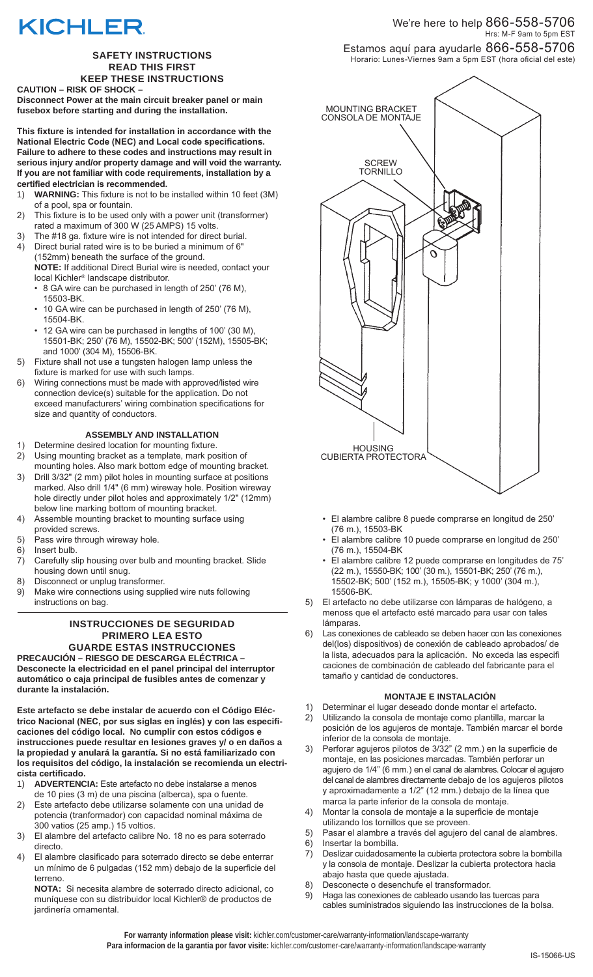# **KICHLER**

#### **SAFETY INSTRUCTIONS READ THIS FIRST KEEP THESE INSTRUCTIONS**

**CAUTION – RISK OF SHOCK –** 

**Disconnect Power at the main circuit breaker panel or main fusebox before starting and during the installation.**

**This fixture is intended for installation in accordance with the National Electric Code (NEC) and Local code specifications. Failure to adhere to these codes and instructions may result in serious injury and/or property damage and will void the warranty. If you are not familiar with code requirements, installation by a certified electrician is recommended.** 

- 1) **WARNING:** This fixture is not to be installed within 10 feet (3M) of a pool, spa or fountain.
- 2) This fixture is to be used only with a power unit (transformer) rated a maximum of 300 W (25 AMPS) 15 volts.
- 3) The #18 ga. fixture wire is not intended for direct burial. 4) Direct burial rated wire is to be buried a minimum of 6"
- (152mm) beneath the surface of the ground. **NOTE:** If additional Direct Burial wire is needed, contact your local Kichler® landscape distributor.
	- 8 GA wire can be purchased in length of 250' (76 M), 15503-BK.
	- 10 GA wire can be purchased in length of 250' (76 M), 15504-BK.
	- 12 GA wire can be purchased in lengths of 100' (30 M), 15501-BK; 250' (76 M), 15502-BK; 500' (152M), 15505-BK; and 1000' (304 M), 15506-BK.
- 5) Fixture shall not use a tungsten halogen lamp unless the fixture is marked for use with such lamps.
- 6) Wiring connections must be made with approved/listed wire connection device(s) suitable for the application. Do not exceed manufacturers' wiring combination specifications for size and quantity of conductors.

# **ASSEMBLY AND INSTALLATION**

- 1) Determine desired location for mounting fixture.
- 2) Using mounting bracket as a template, mark position of mounting holes. Also mark bottom edge of mounting bracket.
- 3) Drill 3/32" (2 mm) pilot holes in mounting surface at positions marked. Also drill 1/4" (6 mm) wireway hole. Position wireway hole directly under pilot holes and approximately 1/2" (12mm) below line marking bottom of mounting bracket.
- 4) Assemble mounting bracket to mounting surface using provided screws.
- 5) Pass wire through wireway hole.
- 6) Insert bulb.
- 7) Carefully slip housing over bulb and mounting bracket. Slide housing down until snug.
- 8) Disconnect or unplug transformer.
- 9) Make wire connections using supplied wire nuts following instructions on bag.

### **INSTRUCCIONES DE SEGURIDAD PRIMERO LEA ESTO GUARDE ESTAS INSTRUCCIONES**

**PRECAUCIÓN – RIESGO DE DESCARGA ELÉCTRICA – Desconecte la electricidad en el panel principal del interruptor automático o caja principal de fusibles antes de comenzar y durante la instalación.**

**Este artefacto se debe instalar de acuerdo con el Código Eléctrico Nacional (NEC, por sus siglas en inglés) y con las especificaciones del código local. No cumplir con estos códigos e instrucciones puede resultar en lesiones graves y/ o en daños a la propiedad y anulará la garantía. Si no está familiarizado con los requisitos del código, la instalación se recomienda un electricista certificado.**

- 1) **ADVERTENCIA:** Este artefacto no debe instalarse a menos de 10 pies (3 m) de una piscina (alberca), spa o fuente.
- 2) Este artefacto debe utilizarse solamente con una unidad de potencia (tranformador) con capacidad nominal máxima de 300 vatios (25 amp.) 15 voltios.
- 3) El alambre del artefacto calibre No. 18 no es para soterrado directo.
- 4) El alambre clasificado para soterrado directo se debe enterrar un mínimo de 6 pulgadas (152 mm) debajo de la superficie del terreno.

**NOTA:** Si necesita alambre de soterrado directo adicional, co muníquese con su distribuidor local Kichler® de productos de jardinería ornamental.

# We're here to help  $866$ - $558$ - $5706\,$ Hrs: M-F 9am to 5pm EST

Estamos aquí para ayudarle 866-558-5706 Horario: Lunes-Viernes 9am a 5pm EST (hora oficial del este)



- El alambre calibre 8 puede comprarse en longitud de 250' (76 m.), 15503-BK
- El alambre calibre 10 puede comprarse en longitud de 250' (76 m.), 15504-BK
- El alambre calibre 12 puede comprarse en longitudes de 75' (22 m.), 15550-BK; 100' (30 m.), 15501-BK; 250' (76 m.), 15502-BK; 500' (152 m.), 15505-BK; y 1000' (304 m.), 15506-BK.
- 5) El artefacto no debe utilizarse con lámparas de halógeno, a menoss que el artefacto esté marcado para usar con tales lámparas.
- 6) Las conexiones de cableado se deben hacer con las conexiones del(los) dispositivos) de conexión de cableado aprobados/ de la lista, adecuados para la aplicación. No exceda las especifi caciones de combinación de cableado del fabricante para el tamaño y cantidad de conductores.

## **MONTAJE E INSTALACIÓN**

- 1) Determinar el lugar deseado donde montar el artefacto. 2) Utilizando la consola de montaje como plantilla, marcar la posición de los agujeros de montaje. También marcar el borde inferior de la consola de montaje.
- 3) Perforar agujeros pilotos de 3/32" (2 mm.) en la superficie de montaje, en las posiciones marcadas. También perforar un agujero de 1/4" (6 mm.) en el canal de alambres. Colocar el agujero del canal de alambres directamente debajo de los agujeros pilotos y aproximadamente a 1/2" (12 mm.) debajo de la línea que marca la parte inferior de la consola de montaje.
- 4) Montar la consola de montaje a la superficie de montaje utilizando los tornillos que se proveen.
- 5) Pasar el alambre a través del agujero del canal de alambres.
- 6) Insertar la bombilla.
- 7) Deslizar cuidadosamente la cubierta protectora sobre la bombilla y la consola de montaje. Deslizar la cubierta protectora hacia abajo hasta que quede ajustada.
- 8) Desconecte o desenchufe el transformador.
- 9) Haga las conexiones de cableado usando las tuercas para cables suministrados siguiendo las instrucciones de la bolsa.